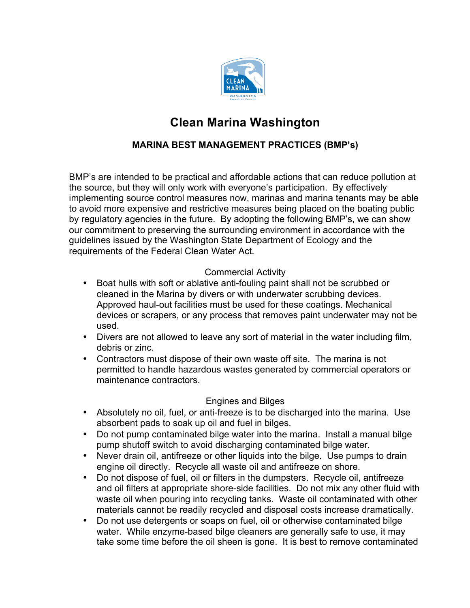

# **Clean Marina Washington**

# **MARINA BEST MANAGEMENT PRACTICES (BMP's)**

BMP's are intended to be practical and affordable actions that can reduce pollution at the source, but they will only work with everyone's participation. By effectively implementing source control measures now, marinas and marina tenants may be able to avoid more expensive and restrictive measures being placed on the boating public by regulatory agencies in the future. By adopting the following BMP's, we can show our commitment to preserving the surrounding environment in accordance with the guidelines issued by the Washington State Department of Ecology and the requirements of the Federal Clean Water Act.

#### Commercial Activity

- Boat hulls with soft or ablative anti-fouling paint shall not be scrubbed or cleaned in the Marina by divers or with underwater scrubbing devices. Approved haul-out facilities must be used for these coatings. Mechanical devices or scrapers, or any process that removes paint underwater may not be used.
- Divers are not allowed to leave any sort of material in the water including film, debris or zinc.
- Contractors must dispose of their own waste off site. The marina is not permitted to handle hazardous wastes generated by commercial operators or maintenance contractors.

#### Engines and Bilges

- Absolutely no oil, fuel, or anti-freeze is to be discharged into the marina. Use absorbent pads to soak up oil and fuel in bilges.
- Do not pump contaminated bilge water into the marina. Install a manual bilge pump shutoff switch to avoid discharging contaminated bilge water.
- Never drain oil, antifreeze or other liquids into the bilge. Use pumps to drain engine oil directly. Recycle all waste oil and antifreeze on shore.
- Do not dispose of fuel, oil or filters in the dumpsters. Recycle oil, antifreeze and oil filters at appropriate shore-side facilities. Do not mix any other fluid with waste oil when pouring into recycling tanks. Waste oil contaminated with other materials cannot be readily recycled and disposal costs increase dramatically.
- Do not use detergents or soaps on fuel, oil or otherwise contaminated bilge water. While enzyme-based bilge cleaners are generally safe to use, it may take some time before the oil sheen is gone. It is best to remove contaminated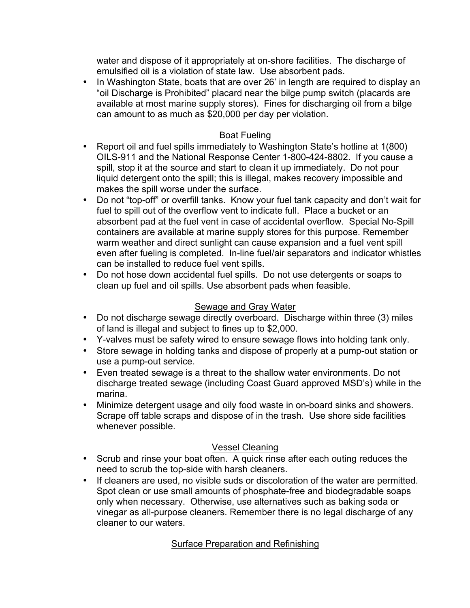water and dispose of it appropriately at on-shore facilities. The discharge of emulsified oil is a violation of state law. Use absorbent pads.

• In Washington State, boats that are over 26' in length are required to display an "oil Discharge is Prohibited" placard near the bilge pump switch (placards are available at most marine supply stores). Fines for discharging oil from a bilge can amount to as much as \$20,000 per day per violation.

## Boat Fueling

- Report oil and fuel spills immediately to Washington State's hotline at 1(800) OILS-911 and the National Response Center 1-800-424-8802. If you cause a spill, stop it at the source and start to clean it up immediately. Do not pour liquid detergent onto the spill; this is illegal, makes recovery impossible and makes the spill worse under the surface.
- Do not "top-off" or overfill tanks. Know your fuel tank capacity and don't wait for fuel to spill out of the overflow vent to indicate full. Place a bucket or an absorbent pad at the fuel vent in case of accidental overflow. Special No-Spill containers are available at marine supply stores for this purpose. Remember warm weather and direct sunlight can cause expansion and a fuel vent spill even after fueling is completed. In-line fuel/air separators and indicator whistles can be installed to reduce fuel vent spills.
- Do not hose down accidental fuel spills. Do not use detergents or soaps to clean up fuel and oil spills. Use absorbent pads when feasible.

#### Sewage and Gray Water

- Do not discharge sewage directly overboard. Discharge within three (3) miles of land is illegal and subject to fines up to \$2,000.
- Y-valves must be safety wired to ensure sewage flows into holding tank only.
- Store sewage in holding tanks and dispose of properly at a pump-out station or use a pump-out service.
- Even treated sewage is a threat to the shallow water environments. Do not discharge treated sewage (including Coast Guard approved MSD's) while in the marina.
- Minimize detergent usage and oily food waste in on-board sinks and showers. Scrape off table scraps and dispose of in the trash. Use shore side facilities whenever possible.

#### Vessel Cleaning

- Scrub and rinse your boat often. A quick rinse after each outing reduces the need to scrub the top-side with harsh cleaners.
- If cleaners are used, no visible suds or discoloration of the water are permitted. Spot clean or use small amounts of phosphate-free and biodegradable soaps only when necessary. Otherwise, use alternatives such as baking soda or vinegar as all-purpose cleaners. Remember there is no legal discharge of any cleaner to our waters.

# Surface Preparation and Refinishing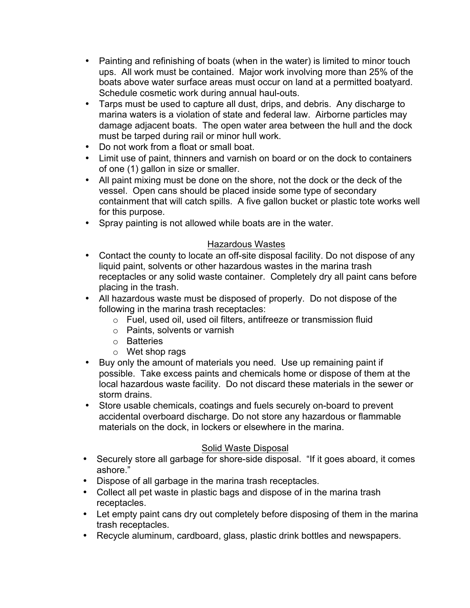- Painting and refinishing of boats (when in the water) is limited to minor touch ups. All work must be contained. Major work involving more than 25% of the boats above water surface areas must occur on land at a permitted boatyard. Schedule cosmetic work during annual haul-outs.
- Tarps must be used to capture all dust, drips, and debris. Any discharge to marina waters is a violation of state and federal law. Airborne particles may damage adjacent boats. The open water area between the hull and the dock must be tarped during rail or minor hull work.
- Do not work from a float or small boat.
- Limit use of paint, thinners and varnish on board or on the dock to containers of one (1) gallon in size or smaller.
- All paint mixing must be done on the shore, not the dock or the deck of the vessel. Open cans should be placed inside some type of secondary containment that will catch spills. A five gallon bucket or plastic tote works well for this purpose.
- Spray painting is not allowed while boats are in the water.

#### Hazardous Wastes

- Contact the county to locate an off-site disposal facility. Do not dispose of any liquid paint, solvents or other hazardous wastes in the marina trash receptacles or any solid waste container. Completely dry all paint cans before placing in the trash.
- All hazardous waste must be disposed of properly. Do not dispose of the following in the marina trash receptacles:
	- o Fuel, used oil, used oil filters, antifreeze or transmission fluid
	- o Paints, solvents or varnish
	- o Batteries
	- $\circ$  Wet shop rags
- Buy only the amount of materials you need. Use up remaining paint if possible. Take excess paints and chemicals home or dispose of them at the local hazardous waste facility. Do not discard these materials in the sewer or storm drains.
- Store usable chemicals, coatings and fuels securely on-board to prevent accidental overboard discharge. Do not store any hazardous or flammable materials on the dock, in lockers or elsewhere in the marina.

#### Solid Waste Disposal

- Securely store all garbage for shore-side disposal. "If it goes aboard, it comes ashore."
- Dispose of all garbage in the marina trash receptacles.
- Collect all pet waste in plastic bags and dispose of in the marina trash receptacles.
- Let empty paint cans dry out completely before disposing of them in the marina trash receptacles.
- Recycle aluminum, cardboard, glass, plastic drink bottles and newspapers.